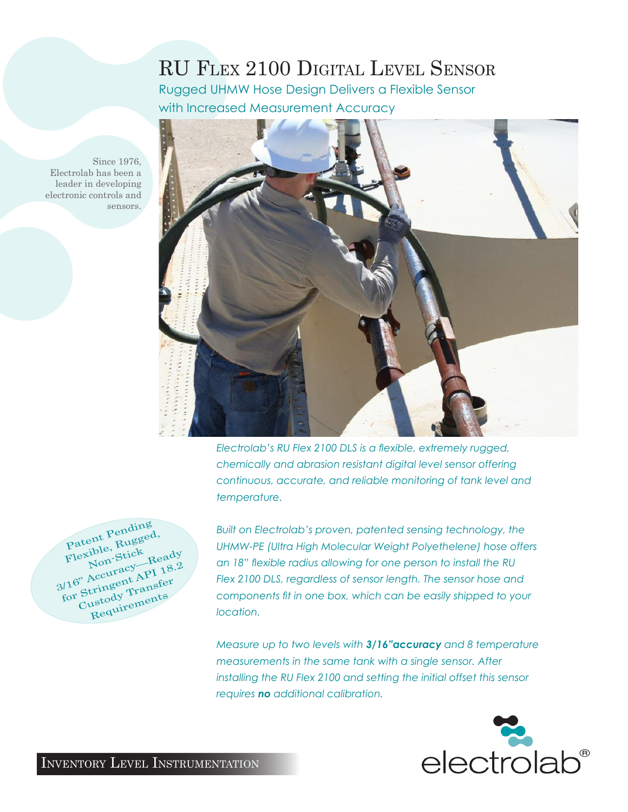# RU Flex 2100 Digital Level Sensor

Rugged UHMW Hose Design Delivers a Flexible Sensor with Increased Measurement Accuracy



*Electrolab's RU Flex 2100 DLS is a flexible, extremely rugged, chemically and abrasion resistant digital level sensor offering continuous, accurate, and reliable monitoring of tank level and temperature.* 

Patent Pending Patent Pency<br>Flexible, Rugged,<br>Non-Stick<br>Non-Sty Flexibion-Stick Ready<br>Non-Stick Ready<br>3/16" Accuracy—Ready<br>3/16" Arringent API 18.2 Nouracy Trees<br>116" Accuracy API 18.2<br>for Stringent Transfer<br>Custody Tranents Custody Transfer

Since 1976,

sensors.

Electrolab has been a leader in developing electronic controls and

> *Built on Electrolab's proven, patented sensing technology, the UHMW-PE (Ultra High Molecular Weight Polyethelene) hose offers an 18" flexible radius allowing for one person to install the RU Flex 2100 DLS, regardless of sensor length. The sensor hose and components fit in one box, which can be easily shipped to your location.*

> *Measure up to two levels with 3/16"accuracy and 8 temperature measurements in the same tank with a single sensor. After installing the RU Flex 2100 and setting the initial offset this sensor requires no additional calibration.*



Inventory Level Instrumentation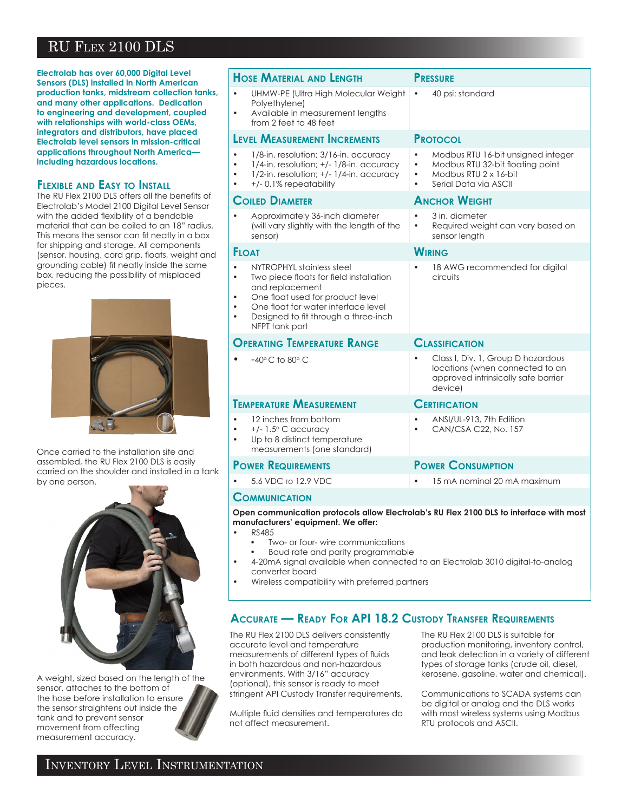# RU Flex 2100 DLS

**Electrolab has over 60,000 Digital Level Sensors (DLS) installed in North American production tanks, midstream collection tanks, and many other applications. Dedication to engineering and development, coupled with relationships with world-class OEMs, integrators and distributors, have placed Electrolab level sensors in mission-critical applications throughout North America including hazardous locations.** 

### **Flexible and Easy to Install**

The RU Flex 2100 DLS offers all the benefits of Electrolab's Model 2100 Digital Level Sensor with the added flexibility of a bendable material that can be coiled to an 18" radius. This means the sensor can fit neatly in a box for shipping and storage. All components (sensor, housing, cord grip, floats, weight and grounding cable) fit neatly inside the same box, reducing the possibility of misplaced pieces.



Once carried to the installation site and assembled, the RU Flex 2100 DLS is easily carried on the shoulder and installed in a tank by one person.



A weight, sized based on the length of the sensor, attaches to the bottom of the hose before installation to ensure the sensor straightens out inside the tank and to prevent sensor movement from affecting measurement accuracy.

| <b>HOSE MATERIAL AND LENGTH</b>                                                                                                                                                                                                                                                  | <b>PRESSURE</b>                                                                                                                                                 |
|----------------------------------------------------------------------------------------------------------------------------------------------------------------------------------------------------------------------------------------------------------------------------------|-----------------------------------------------------------------------------------------------------------------------------------------------------------------|
| UHMW-PE (Ultra High Molecular Weight<br>$\bullet$<br>Polyethylene)<br>Available in measurement lengths<br>from 2 feet to 48 feet                                                                                                                                                 | 40 psi: standard<br>$\bullet$                                                                                                                                   |
| <b>LEVEL MEASUREMENT INCREMENTS</b>                                                                                                                                                                                                                                              | <b>PROTOCOL</b>                                                                                                                                                 |
| 1/8-in. resolution; 3/16-in. accuracy<br>$1/4$ -in. resolution; $+/- 1/8$ -in. accuracy<br>1/2-in. resolution; +/- 1/4-in. accuracy<br>$\bullet$<br>+/-0.1% repeatability<br>٠                                                                                                   | Modbus RTU 16-bit unsigned integer<br>Modbus RTU 32-bit floating point<br>$\bullet$<br>Modbus RTU 2 x 16-bit<br>$\bullet$<br>Serial Data via ASCII<br>$\bullet$ |
| <b>COILED DIAMETER</b>                                                                                                                                                                                                                                                           | <b>ANCHOR WEIGHT</b>                                                                                                                                            |
| Approximately 36-inch diameter<br>(will vary slightly with the length of the<br>sensor)                                                                                                                                                                                          | 3 in. diameter<br>Required weight can vary based on<br>$\bullet$<br>sensor length                                                                               |
| <b>FLOAT</b>                                                                                                                                                                                                                                                                     | <b>WIRING</b>                                                                                                                                                   |
| NYTROPHYL stainless steel<br>$\bullet$<br>Two piece floats for field installation<br>$\bullet$<br>and replacement<br>One float used for product level<br>$\bullet$<br>One float for water interface level<br>Designed to fit through a three-inch<br>$\bullet$<br>NFPT tank port | 18 AWG recommended for digital<br>circuits                                                                                                                      |
| <b>OPERATING TEMPERATURE RANGE</b>                                                                                                                                                                                                                                               | <b>CLASSIFICATION</b>                                                                                                                                           |
| $-40^{\circ}$ C to 80 $^{\circ}$ C                                                                                                                                                                                                                                               | Class I, Div. 1, Group D hazardous<br>locations (when connected to an<br>approved intrinsically safe barrier<br>device)                                         |
| <b>TEMPERATURE MEASUREMENT</b>                                                                                                                                                                                                                                                   | <b>CERTIFICATION</b>                                                                                                                                            |
| 12 inches from bottom<br>$\bullet$<br>$+/- 1.5^{\circ}$ C accuracy<br>Up to 8 distinct temperature<br>$\bullet$<br>measurements (one standard)                                                                                                                                   | ANSI/UL-913, 7th Edition<br>CAN/CSA C22, No. 157                                                                                                                |
| <b>POWER REQUIREMENTS</b>                                                                                                                                                                                                                                                        | <b>POWER CONSUMPTION</b>                                                                                                                                        |
| 5.6 VDC to 12.9 VDC                                                                                                                                                                                                                                                              | 15 mA nominal 20 mA maximum                                                                                                                                     |
| <b>COMMUNICATION</b>                                                                                                                                                                                                                                                             |                                                                                                                                                                 |

**Open communication protocols allow Electrolab's RU Flex 2100 DLS to interface with most manufacturers' equipment. We offer:**

- RS485
	- Two- or four- wire communications
	- Baud rate and parity programmable
- 4-20mA signal available when connected to an Electrolab 3010 digital-to-analog converter board
- Wireless compatibility with preferred partners

# **Accurate — Ready For API 18.2 Custody Transfer Requirements**

The RU Flex 2100 DLS delivers consistently accurate level and temperature measurements of different types of fluids in both hazardous and non-hazardous environments. With 3/16" accuracy (optional), this sensor is ready to meet stringent API Custody Transfer requirements.

Multiple fluid densities and temperatures do not affect measurement.

The RU Flex 2100 DLS is suitable for production monitoring, inventory control, and leak detection in a variety of different types of storage tanks (crude oil, diesel, kerosene, gasoline, water and chemical).

Communications to SCADA systems can be digital or analog and the DLS works with most wireless systems using Modbus RTU protocols and ASCII.

# Inventory Level Instrumentation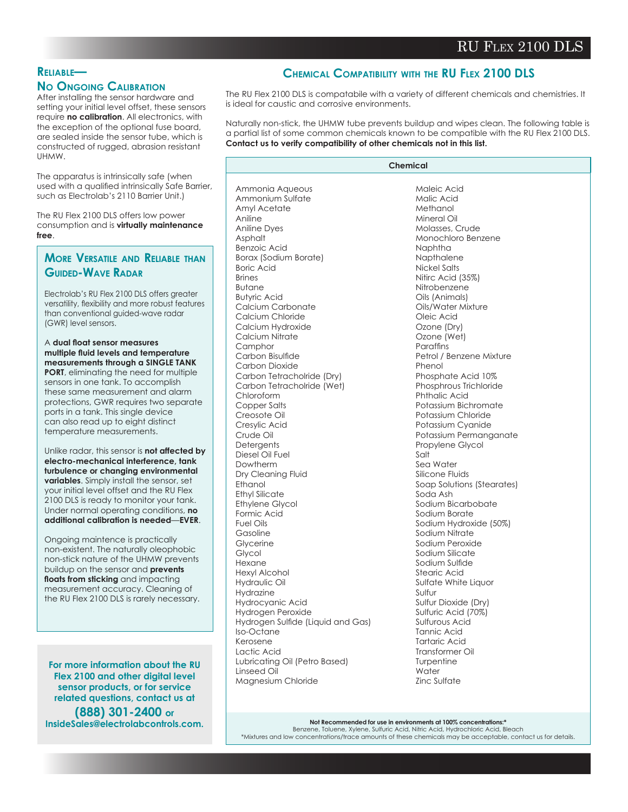## **Reliable—**

#### **No Ongoing Calibration**

After installing the sensor hardware and setting your initial level offset, these sensors require **no calibration**. All electronics, with the exception of the optional fuse board, are sealed inside the sensor tube, which is constructed of rugged, abrasion resistant UHMW.

The apparatus is intrinsically safe (when used with a qualified intrinsically Safe Barrier, such as Electrolab's 2110 Barrier Unit.)

The RU Flex 2100 DLS offers low power consumption and is **virtually maintenance free**.

## **More Versatile and Reliable than Guided-Wave Radar**

Electrolab's RU Flex 2100 DLS offers greater versatility, flexibility and more robust features than conventional guided-wave radar (GWR) level sensors.

#### A **dual float sensor measures multiple fluid levels and temperature measurements through a SINGLE TANK**

**PORT**, eliminating the need for multiple sensors in one tank. To accomplish these same measurement and alarm protections, GWR requires two separate ports in a tank. This single device can also read up to eight distinct temperature measurements.

Unlike radar, this sensor is **not affected by electro-mechanical interference, tank turbulence or changing environmental variables**. Simply install the sensor, set your initial level offset and the RU Flex 2100 DLS is ready to monitor your tank. Under normal operating conditions, **no additional calibration is needed**—**EVER**.

Ongoing maintence is practically non-existent. The naturally oleophobic non-stick nature of the UHMW prevents buildup on the sensor and **prevents floats from sticking** and impacting measurement accuracy. Cleaning of the RU Flex 2100 DLS is rarely necessary.

**For more information about the RU Flex 2100 and other digital level sensor products, or for service related questions, contact us at (888) 301-2400 or InsideSales@electrolabcontrols.com.**

# **Chemical Compatibility with the RU Flex 2100 DLS**

The RU Flex 2100 DLS is compatabile with a variety of different chemicals and chemistries. It is ideal for caustic and corrosive environments.

Naturally non-stick, the UHMW tube prevents buildup and wipes clean. The following table is a partial list of some common chemicals known to be compatible with the RU Flex 2100 DLS. **Contact us to verify compatibility of other chemicals not in this list.**

| Chemical                                        |                                          |
|-------------------------------------------------|------------------------------------------|
|                                                 |                                          |
| Ammonia Aqueous                                 | Maleic Acid                              |
| Ammonium Sulfate                                | Malic Acid                               |
| Amyl Acetate                                    | Methanol                                 |
| Aniline                                         | Mineral Oil                              |
| <b>Aniline Dyes</b>                             | Molasses, Crude                          |
| Asphalt                                         | Monochloro Benzene                       |
| <b>Benzoic Acid</b>                             | Naphtha                                  |
| Borax (Sodium Borate)                           | Napthalene                               |
| <b>Boric Acid</b>                               | Nickel Salts                             |
| <b>Brines</b>                                   | Nitirc Acid (35%)                        |
| <b>Butane</b>                                   | Nitrobenzene                             |
| <b>Butyric Acid</b>                             | Oils (Animals)                           |
| Calcium Carbonate                               | Oils/Water Mixture                       |
| Calcium Chloride                                | Oleic Acid                               |
| Calcium Hydroxide                               | Ozone (Dry)                              |
| Calcium Nitrate                                 | Ozone (Wet)                              |
| Camphor                                         | Paraffins                                |
| Carbon Bisulfide                                | Petrol / Benzene Mixture                 |
| Carbon Dioxide                                  | Phenol                                   |
| Carbon Tetracholride (Dry)                      | Phosphate Acid 10%                       |
| Carbon Tetracholride (Wet)                      | Phosphrous Trichloride                   |
| Chloroform                                      | <b>Phthalic Acid</b>                     |
| Copper Salts                                    | Potassium Bichromate                     |
| Creosote Oil                                    | Potassium Chloride                       |
| Cresylic Acid                                   | Potassium Cyanide                        |
| Crude Oil                                       | Potassium Permanganate                   |
| Detergents                                      | Propylene Glycol                         |
| Diesel Oil Fuel                                 | Salt                                     |
| Dowtherm                                        | Sea Water                                |
| Dry Cleaning Fluid<br>Ethanol                   | Silicone Fluids                          |
|                                                 | Soap Solutions (Stearates)<br>Soda Ash   |
| <b>Ethyl Silicate</b><br><b>Ethylene Glycol</b> | Sodium Bicarbobate                       |
| Formic Acid                                     | Sodium Borate                            |
| <b>Fuel Oils</b>                                |                                          |
| Gasoline                                        | Sodium Hydroxide (50%)<br>Sodium Nitrate |
| Glycerine                                       | Sodium Peroxide                          |
| Glycol                                          | Sodium Silicate                          |
| Hexane                                          | Sodium Sulfide                           |
| <b>Hexyl Alcohol</b>                            | Stearic Acid                             |
| Hydraulic Oil                                   | Sulfate White Liquor                     |
| Hydrazine                                       | Sulfur                                   |
| Hydrocyanic Acid                                | Sulfur Dioxide (Dry)                     |
| Hydrogen Peroxide                               | Sulfuric Acid (70%)                      |
| Hydrogen Sulfide (Liquid and Gas)               | Sulfurous Acid                           |
| Iso-Octane                                      | Tannic Acid                              |
| Kerosene                                        | <b>Tartaric Acid</b>                     |
| Lactic Acid                                     | Transformer Oil                          |
| Lubricating Oil (Petro Based)                   | Turpentine                               |
| Linseed Oil                                     | Water                                    |
| Magnesium Chloride                              | Zinc Sulfate                             |

**Not Recommended for use in environments at 100% concentrations:\*** Benzene, Toluene, Xylene, Sulfuric Acid, Nitric Acid, Hydrochloric Acid, Bleach \*Mixtures and low concentrations/trace amounts of these chemicals may be acceptable, contact us for details.